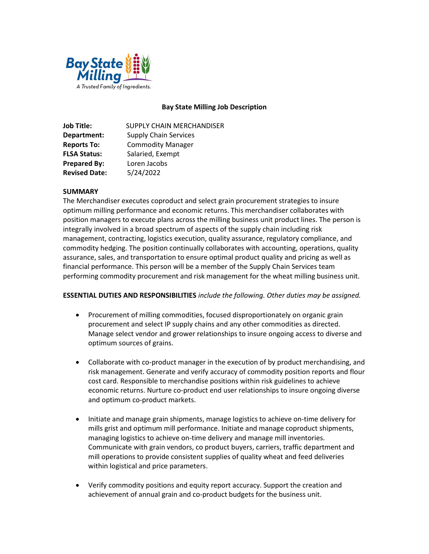

## Bay State Milling Job Description

| Job Title:           | SUPPLY CHAIN MERCHANDISER    |
|----------------------|------------------------------|
| Department:          | <b>Supply Chain Services</b> |
| <b>Reports To:</b>   | <b>Commodity Manager</b>     |
| <b>FLSA Status:</b>  | Salaried, Exempt             |
| <b>Prepared By:</b>  | Loren Jacobs                 |
| <b>Revised Date:</b> | 5/24/2022                    |

## **SUMMARY**

The Merchandiser executes coproduct and select grain procurement strategies to insure optimum milling performance and economic returns. This merchandiser collaborates with position managers to execute plans across the milling business unit product lines. The person is integrally involved in a broad spectrum of aspects of the supply chain including risk management, contracting, logistics execution, quality assurance, regulatory compliance, and commodity hedging. The position continually collaborates with accounting, operations, quality assurance, sales, and transportation to ensure optimal product quality and pricing as well as financial performance. This person will be a member of the Supply Chain Services team performing commodity procurement and risk management for the wheat milling business unit.

### ESSENTIAL DUTIES AND RESPONSIBILITIES include the following. Other duties may be assigned.

- Procurement of milling commodities, focused disproportionately on organic grain procurement and select IP supply chains and any other commodities as directed. Manage select vendor and grower relationships to insure ongoing access to diverse and optimum sources of grains.
- Collaborate with co-product manager in the execution of by product merchandising, and risk management. Generate and verify accuracy of commodity position reports and flour cost card. Responsible to merchandise positions within risk guidelines to achieve economic returns. Nurture co-product end user relationships to insure ongoing diverse and optimum co-product markets.
- Initiate and manage grain shipments, manage logistics to achieve on-time delivery for mills grist and optimum mill performance. Initiate and manage coproduct shipments, managing logistics to achieve on-time delivery and manage mill inventories. Communicate with grain vendors, co product buyers, carriers, traffic department and mill operations to provide consistent supplies of quality wheat and feed deliveries within logistical and price parameters.
- Verify commodity positions and equity report accuracy. Support the creation and achievement of annual grain and co-product budgets for the business unit.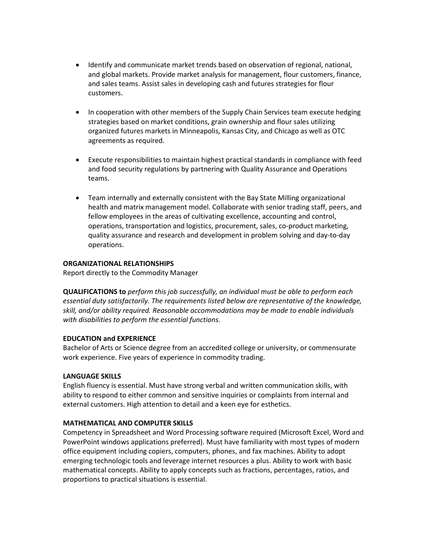- Identify and communicate market trends based on observation of regional, national, and global markets. Provide market analysis for management, flour customers, finance, and sales teams. Assist sales in developing cash and futures strategies for flour customers.
- In cooperation with other members of the Supply Chain Services team execute hedging strategies based on market conditions, grain ownership and flour sales utilizing organized futures markets in Minneapolis, Kansas City, and Chicago as well as OTC agreements as required.
- Execute responsibilities to maintain highest practical standards in compliance with feed and food security regulations by partnering with Quality Assurance and Operations teams.
- Team internally and externally consistent with the Bay State Milling organizational health and matrix management model. Collaborate with senior trading staff, peers, and fellow employees in the areas of cultivating excellence, accounting and control, operations, transportation and logistics, procurement, sales, co-product marketing, quality assurance and research and development in problem solving and day-to-day operations.

## ORGANIZATIONAL RELATIONSHIPS

Report directly to the Commodity Manager

QUALIFICATIONS to perform this job successfully, an individual must be able to perform each essential duty satisfactorily. The requirements listed below are representative of the knowledge, skill, and/or ability required. Reasonable accommodations may be made to enable individuals with disabilities to perform the essential functions.

# EDUCATION and EXPERIENCE

Bachelor of Arts or Science degree from an accredited college or university, or commensurate work experience. Five years of experience in commodity trading.

### LANGUAGE SKILLS

English fluency is essential. Must have strong verbal and written communication skills, with ability to respond to either common and sensitive inquiries or complaints from internal and external customers. High attention to detail and a keen eye for esthetics.

### MATHEMATICAL AND COMPUTER SKILLS

Competency in Spreadsheet and Word Processing software required (Microsoft Excel, Word and PowerPoint windows applications preferred). Must have familiarity with most types of modern office equipment including copiers, computers, phones, and fax machines. Ability to adopt emerging technologic tools and leverage internet resources a plus. Ability to work with basic mathematical concepts. Ability to apply concepts such as fractions, percentages, ratios, and proportions to practical situations is essential.